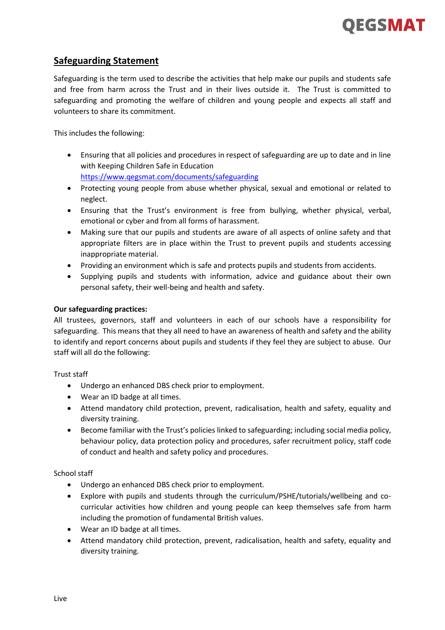

## **Safeguarding Statement**

Safeguarding is the term used to describe the activities that help make our pupils and students safe and free from harm across the Trust and in their lives outside it. The Trust is committed to safeguarding and promoting the welfare of children and young people and expects all staff and volunteers to share its commitment.

This includes the following:

- Ensuring that all policies and procedures in respect of safeguarding are up to date and in line with Keeping Children Safe in Education <https://www.qegsmat.com/documents/safeguarding>
- Protecting young people from abuse whether physical, sexual and emotional or related to neglect.
- Ensuring that the Trust's environment is free from bullying, whether physical, verbal, emotional or cyber and from all forms of harassment.
- Making sure that our pupils and students are aware of all aspects of online safety and that appropriate filters are in place within the Trust to prevent pupils and students accessing inappropriate material.
- Providing an environment which is safe and protects pupils and students from accidents.
- Supplying pupils and students with information, advice and guidance about their own personal safety, their well-being and health and safety.

## **Our safeguarding practices:**

All trustees, governors, staff and volunteers in each of our schools have a responsibility for safeguarding. This means that they all need to have an awareness of health and safety and the ability to identify and report concerns about pupils and students if they feel they are subject to abuse. Our staff will all do the following:

Trust staff

- Undergo an enhanced DBS check prior to employment.
- Wear an ID badge at all times.
- Attend mandatory child protection, prevent, radicalisation, health and safety, equality and diversity training.
- Become familiar with the Trust's policies linked to safeguarding; including social media policy, behaviour policy, data protection policy and procedures, safer recruitment policy, staff code of conduct and health and safety policy and procedures.

School staff

- Undergo an enhanced DBS check prior to employment.
- Explore with pupils and students through the curriculum/PSHE/tutorials/wellbeing and cocurricular activities how children and young people can keep themselves safe from harm including the promotion of fundamental British values.
- Wear an ID badge at all times.
- Attend mandatory child protection, prevent, radicalisation, health and safety, equality and diversity training.